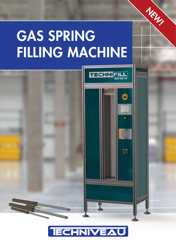# GAS SPRING FILLING MACHINE

NEW!